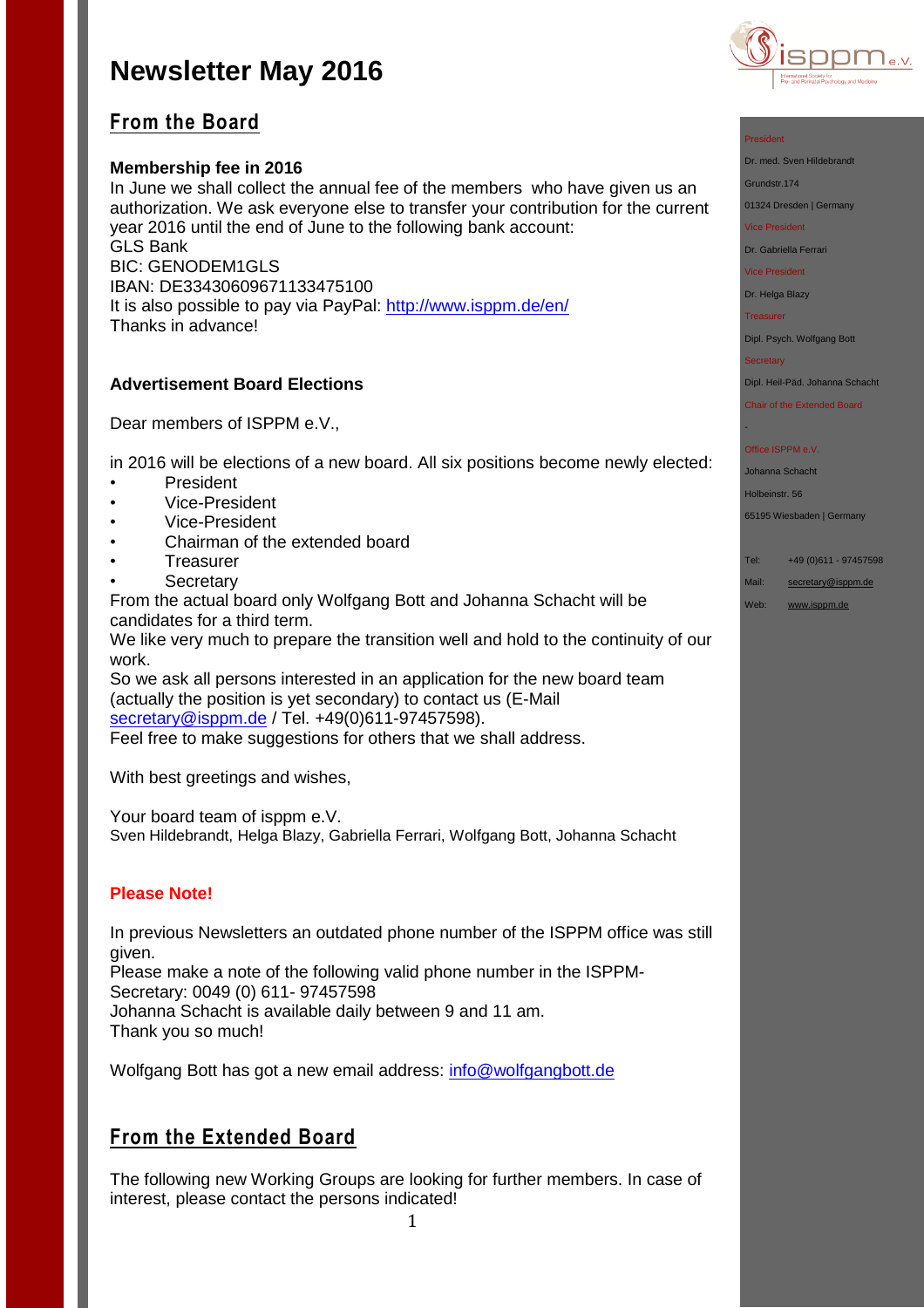

President

Grundstr.174

Vice President Dr. Gabriella Ferrari Vice President Dr. Helga Blazy Treasurer

**Secretary** 

Office ISPPM e.V. Johanna Schacht Holbeinstr. 56

-

Dr. med. Sven Hildebrandt

01324 Dresden | Germany

Dipl. Psych. Wolfgang Bott

Dipl. Heil-Päd. Johanna Schacht Chair of the Extended Board

65195 Wiesbaden | Germany

Tel: +49 (0)611 - 97457598 Mail: [secretary@isppm.de](mailto:secretary@isppm.de) Web: [www.isppm.de](http://www.isppm.de/)

## **From the Board**

### **Membership fee in 2016**

In June we shall collect the annual fee of the members who have given us an authorization. We ask everyone else to transfer your contribution for the current year 2016 until the end of June to the following bank account: GLS Bank BIC: GENODEM1GLS IBAN: DE33430609671133475100 It is also possible to pay via PayPal:<http://www.isppm.de/en/> Thanks in advance!

### **Advertisement Board Elections**

Dear members of ISPPM e.V.,

in 2016 will be elections of a new board. All six positions become newly elected:

- President
- Vice-President
- Vice-President
- Chairman of the extended board
- Treasurer
- **Secretary**

From the actual board only Wolfgang Bott and Johanna Schacht will be candidates for a third term.

We like very much to prepare the transition well and hold to the continuity of our work.

So we ask all persons interested in an application for the new board team (actually the position is yet secondary) to contact us (E-Mail [secretary@isppm.de](mailto:secretary@isppm.de) / Tel. +49(0)611-97457598).

Feel free to make suggestions for others that we shall address.

With best greetings and wishes,

Your board team of isppm e.V. Sven Hildebrandt, Helga Blazy, Gabriella Ferrari, Wolfgang Bott, Johanna Schacht

### **Please Note!**

In previous Newsletters an outdated phone number of the ISPPM office was still given.

Please make a note of the following valid phone number in the ISPPM-Secretary: 0049 (0) 611- 97457598 Johanna Schacht is available daily between 9 and 11 am.

Thank you so much!

Wolfgang Bott has got a new email address: [info@wolfgangbott.de](mailto:info@wolfgangbott.de)

## **From the Extended Board**

The following new Working Groups are looking for further members. In case of interest, please contact the persons indicated!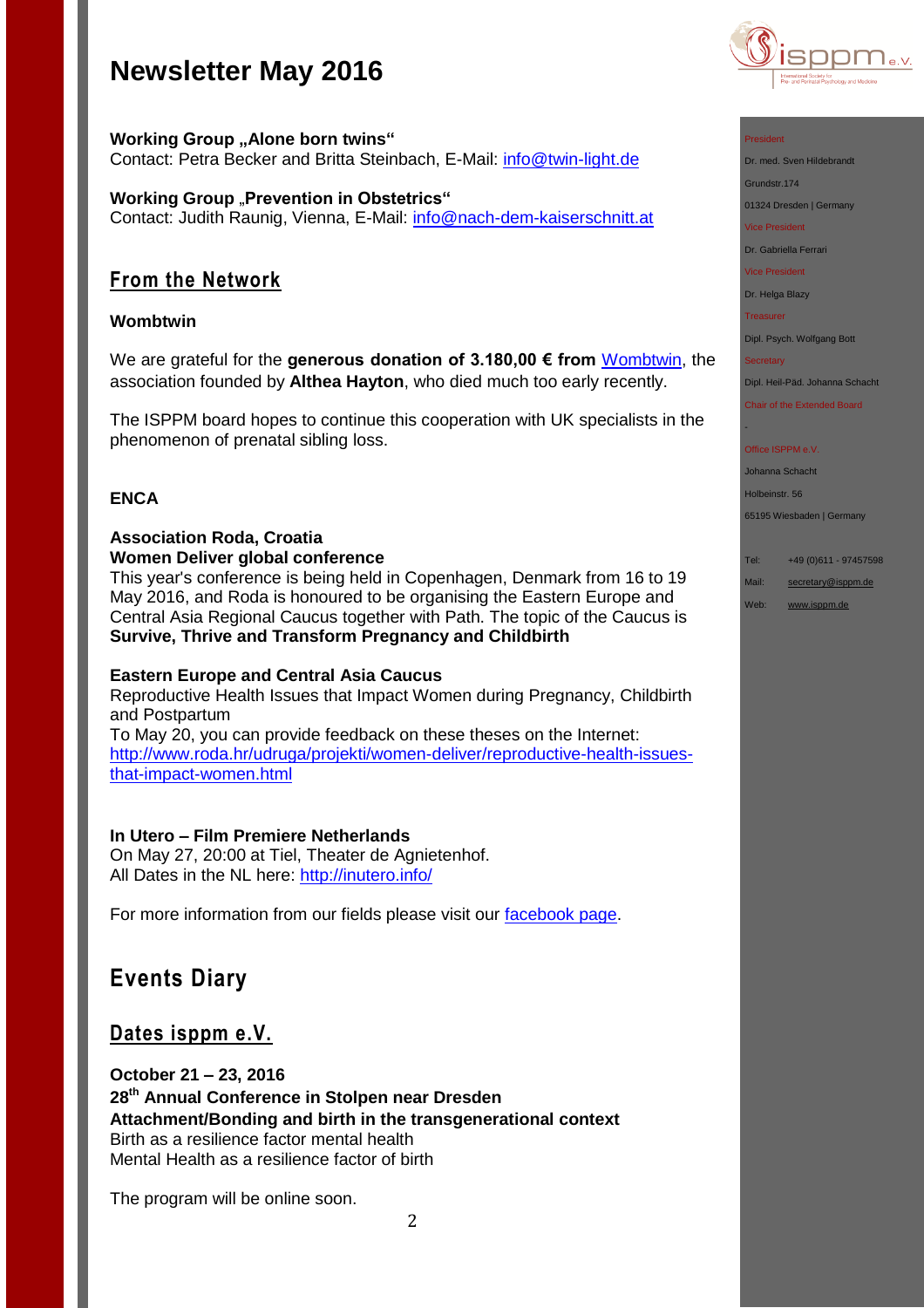**Working Group "Alone born twins"** Contact: Petra Becker and Britta Steinbach, E-Mail: [info@twin-light.de](mailto:info@twin-light.de)

**Working Group "Prevention in Obstetrics"** Contact: Judith Raunig, Vienna, E-Mail: [info@nach-dem-kaiserschnitt.at](mailto:info@nach-dem-kaiserschnitt.at)

## **From the Network**

### **Wombtwin**

We are grateful for the **generous donation of 3.180,00 € from** [Wombtwin,](http://www.wombtwin.com/) the association founded by **Althea Hayton**, who died much too early recently.

The ISPPM board hopes to continue this cooperation with UK specialists in the phenomenon of prenatal sibling loss.

### **ENCA**

### **Association Roda, Croatia Women Deliver global conference**

This year's conference is being held in Copenhagen, Denmark from 16 to 19 May 2016, and Roda is honoured to be organising the Eastern Europe and Central Asia Regional Caucus together with Path. The topic of the Caucus is **Survive, Thrive and Transform Pregnancy and Childbirth**

### **Eastern Europe and Central Asia Caucus**

Reproductive Health Issues that Impact Women during Pregnancy, Childbirth and Postpartum To May 20, you can provide feedback on these theses on the Internet: [http://www.roda.hr/udruga/projekti/women-deliver/reproductive-health-issues-](http://www.roda.hr/udruga/projekti/women-deliver/reproductive-health-issues-that-impact-women.html)

[that-impact-women.html](http://www.roda.hr/udruga/projekti/women-deliver/reproductive-health-issues-that-impact-women.html)

## **In Utero – Film Premiere Netherlands**

On May 27, 20:00 at Tiel, Theater de Agnietenhof. All Dates in the NL here: <http://inutero.info/>

For more information from our fields please visit our [facebook page.](https://www.facebook.com/ISPPM-eV-124066644364106/)

## **Events Diary**

## **Dates isppm e.V.**

**October 21 – 23, 2016 28th Annual Conference in Stolpen near Dresden Attachment/Bonding and birth in the transgenerational context** Birth as a resilience factor mental health Mental Health as a resilience factor of birth

The program will be online soon.



### President

Dr. med. Sven Hildebrandt

Grundstr.174

01324 Dresden | Germany

Vice President

Dr. Gabriella Ferrari

Vice President

Dr. Helga Blazy

**Treasurer** 

Dipl. Psych. Wolfgang Bott

**Secretary** 

-

Dipl. Heil-Päd. Johanna Schacht

Chair of the Extended Board

### Office ISPPM e.V.

Johanna Schacht Holbeinstr. 56

65195 Wiesbaden | Germany

Tel: +49 (0)611 - 97457598

Mail: [secretary@isppm.de](mailto:secretary@isppm.de)

Web: [www.isppm.de](http://www.isppm.de/)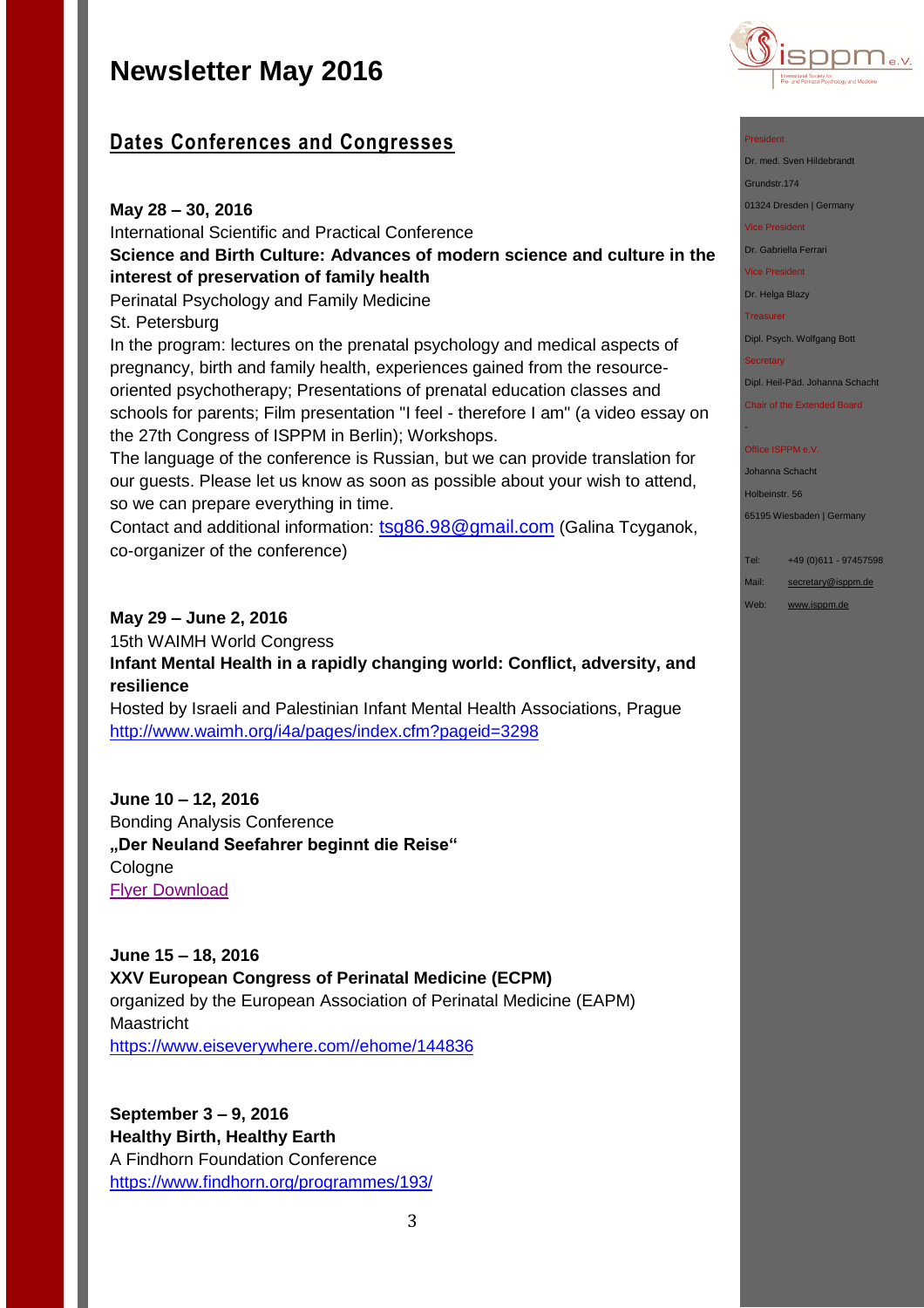## **Dates Conferences and Congresses**

### **May 28 – 30, 2016**

International Scientific and Practical Conference **Science and Birth Culture: Advances of modern science and culture in the interest of preservation of family health** Perinatal Psychology and Family Medicine

St. Petersburg

In the program: lectures on the prenatal psychology and medical aspects of pregnancy, birth and family health, experiences gained from the resourceoriented psychotherapy; Presentations of prenatal education classes and schools for parents; Film presentation "I feel - therefore I am" (a video essay on the 27th Congress of ISPPM in Berlin); Workshops.

The language of the conference is Russian, but we can provide translation for our guests. Please let us know as soon as possible about your wish to attend, so we can prepare everything in time.

Contact and additional information: [tsg86.98@gmail.com](mailto:tsg86.98@gmail.com) (Galina Tcyganok, co-organizer of the conference)

### **May 29 – June 2, 2016**

15th WAIMH World Congress **Infant Mental Health in a rapidly changing world: Conflict, adversity, and resilience**

Hosted by Israeli and Palestinian Infant Mental Health Associations, Prague <http://www.waimh.org/i4a/pages/index.cfm?pageid=3298>

**June 10 – 12, 2016**  Bonding Analysis Conference **"Der Neuland Seefahrer beginnt die Reise" Cologne** [Flyer Download](http://www.isppm.de/wp-content/uploads/2016/02/Flyer-BA-Tagung_2016.pdf)

**June 15 – 18, 2016 XXV European Congress of Perinatal Medicine (ECPM)** organized by the European Association of Perinatal Medicine (EAPM) Maastricht [https://www.eiseverywhere.com//ehome/144836](https://www.eiseverywhere.com/ehome/144836)

**September 3 – 9, 2016 Healthy Birth, Healthy Earth** A Findhorn Foundation Conference <https://www.findhorn.org/programmes/193/>



#### President

Dr. med. Sven Hildebrandt Grundstr.174

01324 Dresden | Germany

Vice President

Dr. Gabriella Ferrari

Vice President

Dr. Helga Blazy

Treasurer Dipl. Psych. Wolfgang Bott

**Secretary** 

-

Dipl. Heil-Päd. Johanna Schacht

Chair of the Extended Board

### Office ISPPM e.V.

Johanna Schacht

Holbeinstr. 56

65195 Wiesbaden | Germany

- Tel: +49 (0)611 97457598
- Mail: [secretary@isppm.de](mailto:secretary@isppm.de)
- Web: [www.isppm.de](http://www.isppm.de/)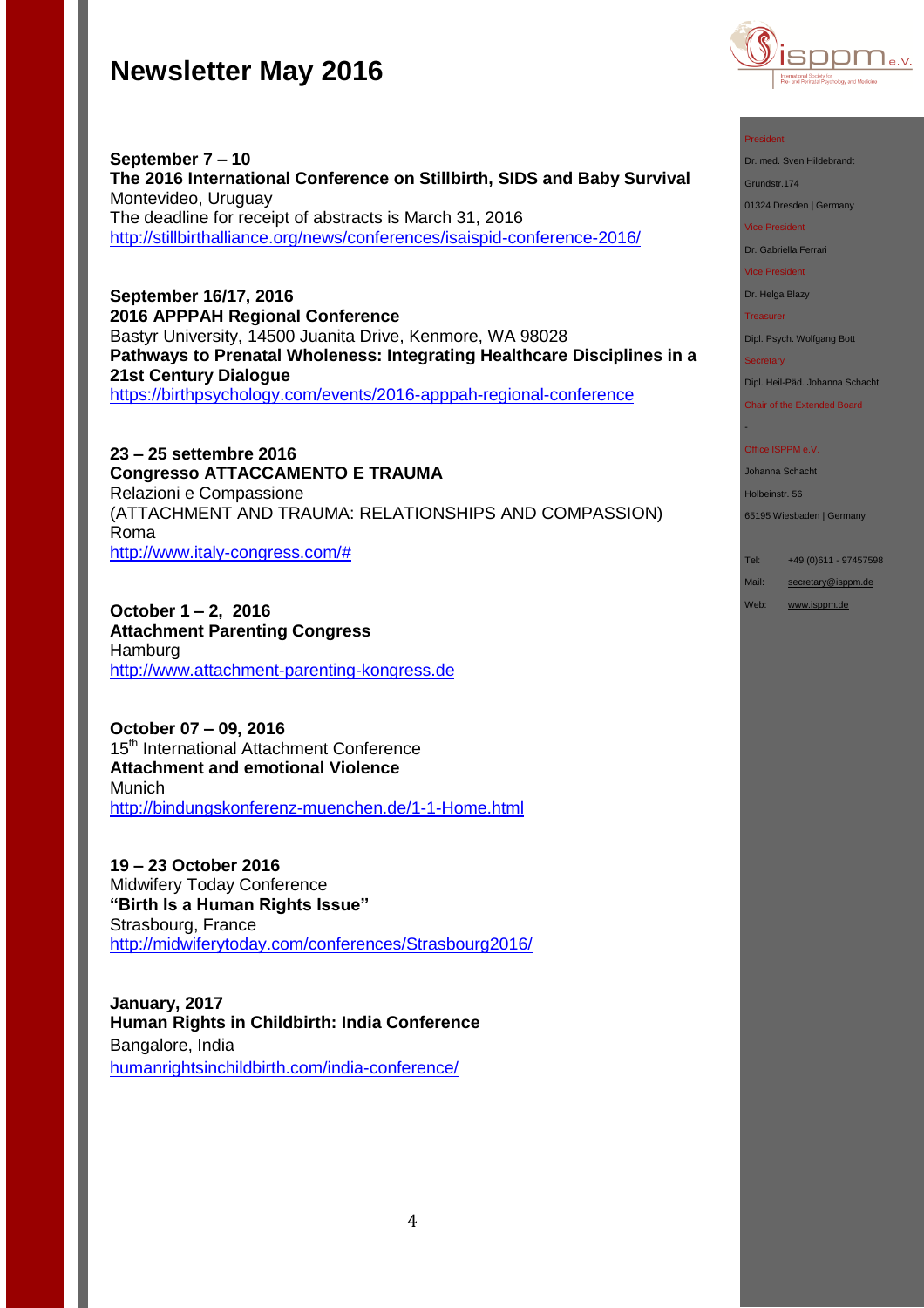

**September 7 – 10 The 2016 International Conference on Stillbirth, SIDS and Baby Survival** Montevideo, Uruguay The deadline for receipt of abstracts is March 31, 2016 <http://stillbirthalliance.org/news/conferences/isaispid-conference-2016/>

**September 16/17, 2016 2016 APPPAH Regional Conference** Bastyr University, 14500 Juanita Drive, Kenmore, WA 98028 **Pathways to Prenatal Wholeness: Integrating Healthcare Disciplines in a 21st Century Dialogue** <https://birthpsychology.com/events/2016-apppah-regional-conference>

**23 – 25 settembre 2016 Congresso ATTACCAMENTO E TRAUMA** Relazioni e Compassione (ATTACHMENT AND TRAUMA: RELATIONSHIPS AND COMPASSION) Roma [http://www.italy-congress.com/#](http://www.italy-congress.com/%23)

**October 1 – 2, 2016 Attachment Parenting Congress** Hamburg [http://www.attachment-parenting-kongress.de](http://www.attachment-parenting-kongress.de/)

**October 07 – 09, 2016**  15<sup>th</sup> International Attachment Conference **Attachment and emotional Violence** Munich <http://bindungskonferenz-muenchen.de/1-1-Home.html>

**19 – 23 October 2016** Midwifery Today Conference **"Birth Is a Human Rights Issue"** Strasbourg, France <http://midwiferytoday.com/conferences/Strasbourg2016/>

**January, 2017 Human Rights in Childbirth: India Conference** Bangalore, India [humanrightsinchildbirth.com/india-conference/](http://humanrightsinchildbirth.com/india-conference/)

#### President

Dr. med. Sven Hildebrandt

Grundstr.174

01324 Dresden | Germany

Vice President

Dr. Gabriella Ferrari

Vice President

Dr. Helga Blazy

Treasurer

Dipl. Psych. Wolfgang Bott

**Secretary** 

-

Dipl. Heil-Päd. Johanna Schacht

Chair of the Extended Board

#### Office ISPPM e.V.

Johanna Schacht

Holbeinstr. 56

65195 Wiesbaden | Germany

Tel: +49 (0)611 - 97457598

Mail: [secretary@isppm.de](mailto:secretary@isppm.de)

Web: [www.isppm.de](http://www.isppm.de/)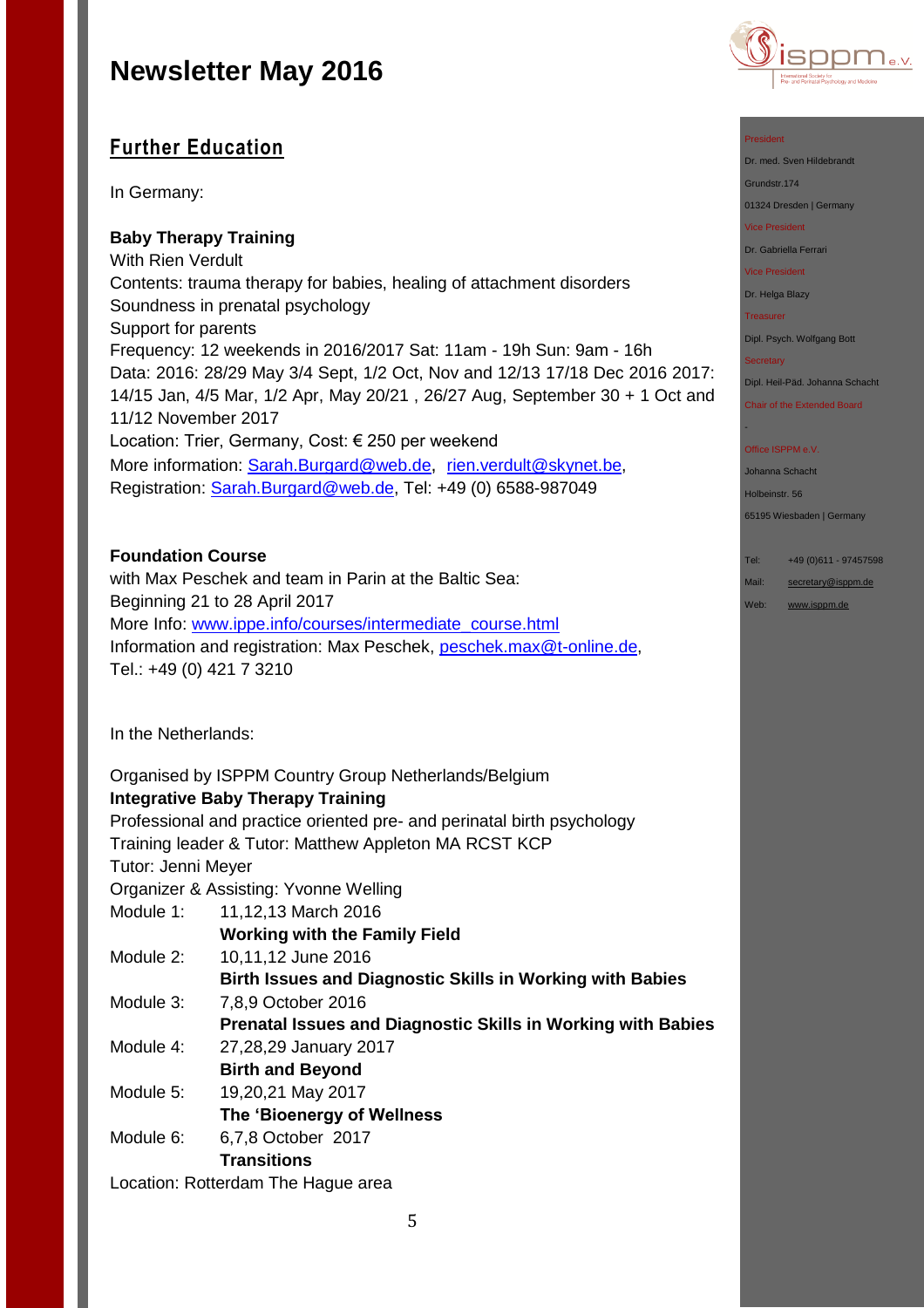

President

Grundstr.174

Dr. med. Sven Hildebrandt

01324 Dresden | Germany Vice President Dr. Gabriella Ferrari Vice President Dr. Helga Blazy **Treasurer** 

Dipl. Psych. Wolfgang Bott

Dipl. Heil-Päd. Johanna Schacht Chair of the Extended Board

65195 Wiesbaden | Germany

Tel: +49 (0)611 - 97457598 Mail: [secretary@isppm.de](mailto:secretary@isppm.de) Web: [www.isppm.de](http://www.isppm.de/)

**Secretary** 

Office ISPPM e.V. Johanna Schacht Holbeinstr. 56

-

## **Further Education**

In Germany:

### **Baby Therapy Training**

With Rien Verdult Contents: trauma therapy for babies, healing of attachment disorders Soundness in prenatal psychology Support for parents Frequency: 12 weekends in 2016/2017 Sat: 11am - 19h Sun: 9am - 16h Data: 2016: 28/29 May 3/4 Sept, 1/2 Oct, Nov and 12/13 17/18 Dec 2016 2017: 14/15 Jan, 4/5 Mar, 1/2 Apr, May 20/21 , 26/27 Aug, September 30 + 1 Oct and 11/12 November 2017 Location: Trier, Germany, Cost: € 250 per weekend More information: [Sarah.Burgard@web.de](mailto:Sarah.Burgard@web.de), [rien.verdult@skynet.be,](mailto:rien.verdult@skynet.be) Registration: [Sarah.Burgard@web.de,](mailto:Sarah.Burgard@web.de) Tel: +49 (0) 6588-987049

### **Foundation Course**

with Max Peschek and team in Parin at the Baltic Sea: Beginning 21 to 28 April 2017 More Info: [www.ippe.info/courses/intermediate\\_course.html](http://www.ippe.info/courses/intermediate_course.html) Information and registration: Max Peschek, [peschek.max@t-online.de,](mailto:peschek.max@t-online.de) Tel.: +49 (0) 421 7 3210

In the Netherlands:

## Organised by ISPPM Country Group Netherlands/Belgium **Integrative Baby Therapy Training**

Professional and practice oriented pre- and perinatal birth psychology Training leader & Tutor: Matthew Appleton MA RCST KCP Tutor: Jenni Meyer

Organizer & Assisting: Yvonne Welling

- Module 1: 11,12,13 March 2016
	- **Working with the Family Field**
- Module 2: 10,11,12 June 2016
- **Birth Issues and Diagnostic Skills in Working with Babies**
- Module 3: 7,8,9 October 2016
	- **Prenatal Issues and Diagnostic Skills in Working with Babies**
- Module 4: 27,28,29 January 2017
	- **Birth and Beyond**
- Module 5: 19,20,21 May 2017
- **The 'Bioenergy of Wellness**
- Module 6: 6,7,8 October 2017

### **Transitions**

Location: Rotterdam The Hague area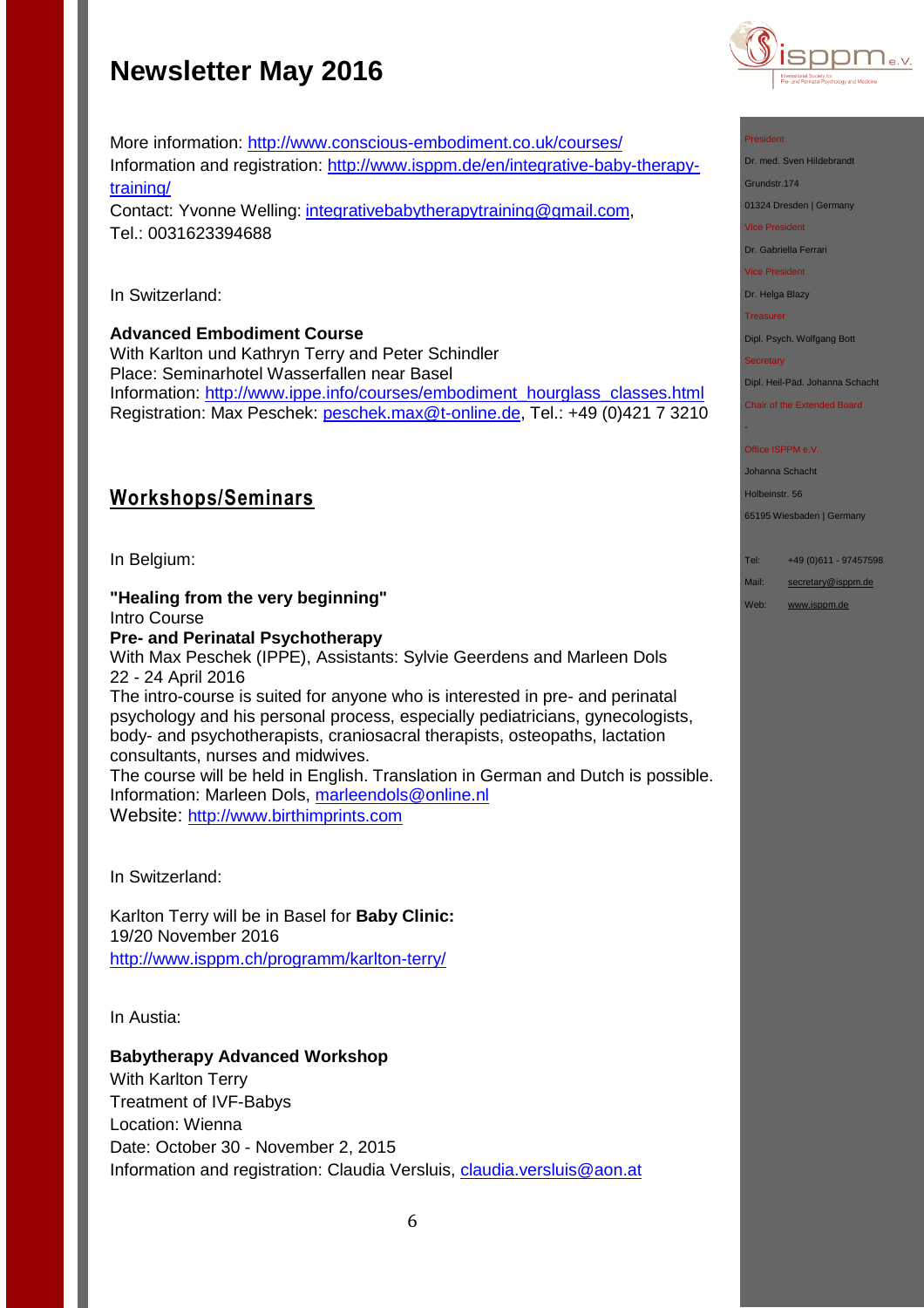**Advanced Embodiment Course**

**Workshops/Seminars**

With Karlton und Kathryn Terry and Peter Schindler Place: Seminarhotel Wasserfallen near Basel

[training/](http://www.isppm.de/en/integrative-baby-therapy-training/)

Tel.: 0031623394688

In Switzerland:

In Belgium:

Intro Course

More information:<http://www.conscious-embodiment.co.uk/courses/>

Contact: Yvonne Welling: [integrativebabytherapytraining@gmail.com,](mailto:integrativebabytherapytraining@gmail.com)

Information and registration: [http://www.isppm.de/en/integrative-baby-therapy-](http://www.isppm.de/en/integrative-baby-therapy-training/)

Information: [http://www.ippe.info/courses/embodiment\\_hourglass\\_classes.html](http://www.ippe.info/courses/embodiment_hourglass_classes.html)  Registration: Max Peschek: [peschek.max@t-online.de,](mailto:peschek.max@t-online.de) Tel.: +49 (0)421 7 3210

With Max Peschek (IPPE), Assistants: Sylvie Geerdens and Marleen Dols



#### President

Dr. med. Sven Hildebrandt

Grundstr.174

01324 Dresden | Germany

Vice President

Dr. Gabriella Ferrari

Vice President

Dr. Helga Blazy

Treasurer

Dipl. Psych. Wolfgang Bott

**Secretary** 

-

Dipl. Heil-Päd. Johanna Schacht

Chair of the Extended Board

#### Office ISPPM e.V.

Johanna Schacht

Holbeinstr. 56

65195 Wiesbaden | Germany

Tel: +49 (0)611 - 97457598

Mail: [secretary@isppm.de](mailto:secretary@isppm.de)

Web: [www.isppm.de](http://www.isppm.de/)

## 22 - 24 April 2016 The intro-course is suited for anyone who is interested in pre- and perinatal psychology and his personal process, especially pediatricians, gynecologists, body- and psychotherapists, craniosacral therapists, osteopaths, lactation consultants, nurses and midwives. The course will be held in English. Translation in German and Dutch is possible. Information: Marleen Dols, [marleendols@online.nl](mailto:marleendols@online.nl) Website: [http://www.birthimprints.com](http://www.birthimprints.com/)

**"Healing from the very beginning"**

**Pre- and Perinatal Psychotherapy**

In Switzerland:

Karlton Terry will be in Basel for **Baby Clinic:** 19/20 November 2016 <http://www.isppm.ch/programm/karlton-terry/>

In Austia:

### **Babytherapy Advanced Workshop**

With Karlton Terry Treatment of IVF-Babys Location: Wienna Date: October 30 - November 2, 2015 Information and registration: Claudia Versluis, *claudia.versluis@aon.at*